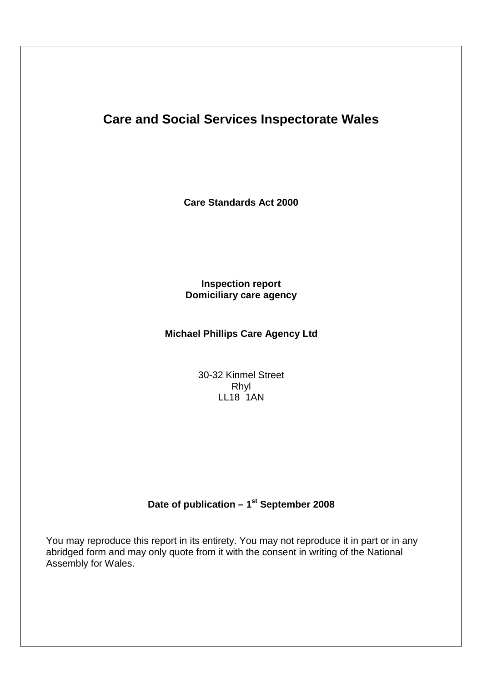# **Care and Social Services Inspectorate Wales**

**Care Standards Act 2000**

## **Inspection report Domiciliary care agency**

## **Michael Phillips Care Agency Ltd**

30-32 Kinmel Street Rhyl LL18 1AN

## Date of publication - 1<sup>st</sup> September 2008

You may reproduce this report in its entirety. You may not reproduce it in part or in any abridged form and may only quote from it with the consent in writing of the National Assembly for Wales.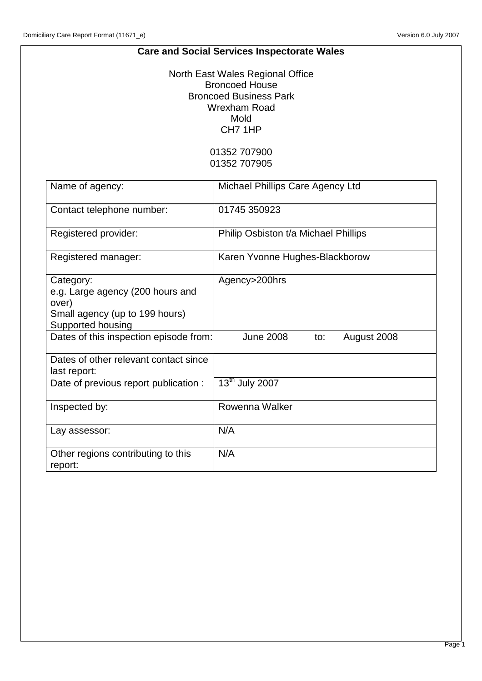## **Care and Social Services Inspectorate Wales**

North East Wales Regional Office Broncoed House Broncoed Business Park Wrexham Road Mold CH7 1HP

> 01352 707900 01352 707905

| Name of agency:                                                                                               | Michael Phillips Care Agency Ltd       |
|---------------------------------------------------------------------------------------------------------------|----------------------------------------|
| Contact telephone number:                                                                                     | 01745 350923                           |
| Registered provider:                                                                                          | Philip Osbiston t/a Michael Phillips   |
| Registered manager:                                                                                           | Karen Yvonne Hughes-Blackborow         |
| Category:<br>e.g. Large agency (200 hours and<br>over)<br>Small agency (up to 199 hours)<br>Supported housing | Agency>200hrs                          |
| Dates of this inspection episode from:                                                                        | <b>June 2008</b><br>August 2008<br>to: |
| Dates of other relevant contact since<br>last report:                                                         |                                        |
| Date of previous report publication :                                                                         | 13 <sup>th</sup> July 2007             |
| Inspected by:                                                                                                 | Rowenna Walker                         |
| Lay assessor:                                                                                                 | N/A                                    |
| Other regions contributing to this<br>report:                                                                 | N/A                                    |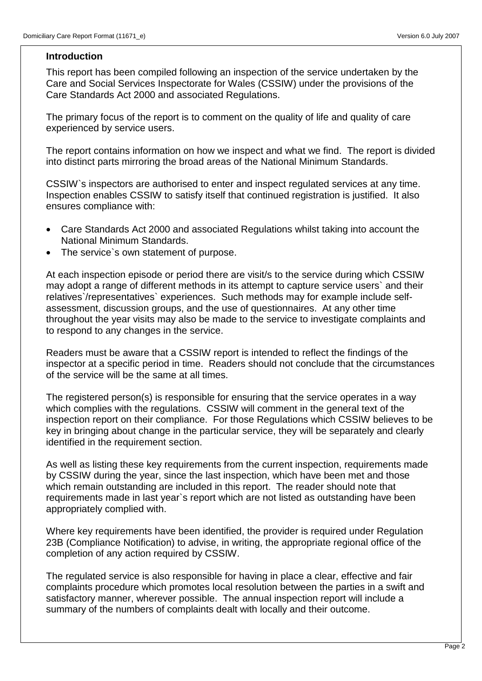#### **Introduction**

This report has been compiled following an inspection of the service undertaken by the Care and Social Services Inspectorate for Wales (CSSIW) under the provisions of the Care Standards Act 2000 and associated Regulations.

The primary focus of the report is to comment on the quality of life and quality of care experienced by service users.

The report contains information on how we inspect and what we find. The report is divided into distinct parts mirroring the broad areas of the National Minimum Standards.

CSSIW`s inspectors are authorised to enter and inspect regulated services at any time. Inspection enables CSSIW to satisfy itself that continued registration is justified. It also ensures compliance with:

- Care Standards Act 2000 and associated Regulations whilst taking into account the National Minimum Standards.
- The service's own statement of purpose.

At each inspection episode or period there are visit/s to the service during which CSSIW may adopt a range of different methods in its attempt to capture service users` and their relatives`/representatives` experiences. Such methods may for example include selfassessment, discussion groups, and the use of questionnaires. At any other time throughout the year visits may also be made to the service to investigate complaints and to respond to any changes in the service.

Readers must be aware that a CSSIW report is intended to reflect the findings of the inspector at a specific period in time. Readers should not conclude that the circumstances of the service will be the same at all times.

The registered person(s) is responsible for ensuring that the service operates in a way which complies with the regulations. CSSIW will comment in the general text of the inspection report on their compliance. For those Regulations which CSSIW believes to be key in bringing about change in the particular service, they will be separately and clearly identified in the requirement section.

As well as listing these key requirements from the current inspection, requirements made by CSSIW during the year, since the last inspection, which have been met and those which remain outstanding are included in this report. The reader should note that requirements made in last year`s report which are not listed as outstanding have been appropriately complied with.

Where key requirements have been identified, the provider is required under Regulation 23B (Compliance Notification) to advise, in writing, the appropriate regional office of the completion of any action required by CSSIW.

The regulated service is also responsible for having in place a clear, effective and fair complaints procedure which promotes local resolution between the parties in a swift and satisfactory manner, wherever possible. The annual inspection report will include a summary of the numbers of complaints dealt with locally and their outcome.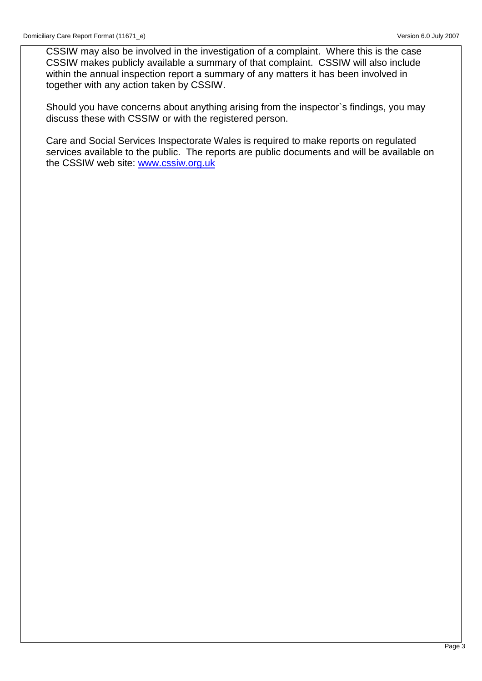CSSIW may also be involved in the investigation of a complaint. Where this is the case CSSIW makes publicly available a summary of that complaint. CSSIW will also include within the annual inspection report a summary of any matters it has been involved in together with any action taken by CSSIW.

Should you have concerns about anything arising from the inspector`s findings, you may discuss these with CSSIW or with the registered person.

Care and Social Services Inspectorate Wales is required to make reports on regulated services available to the public. The reports are public documents and will be available on the CSSIW web site: www.cssiw.org.uk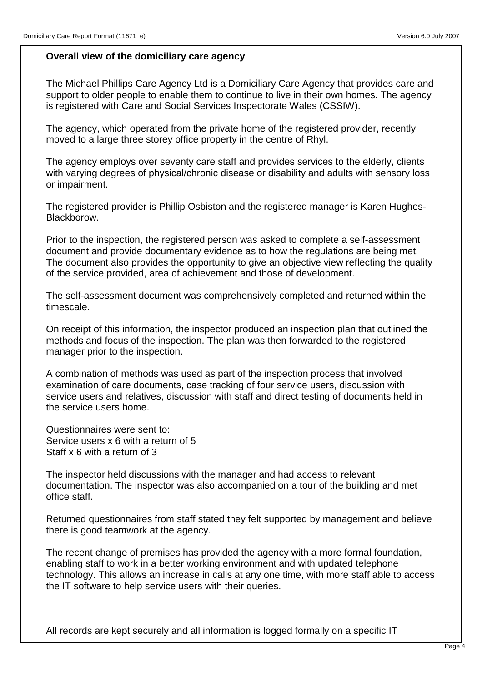#### **Overall view of the domiciliary care agency**

The Michael Phillips Care Agency Ltd is a Domiciliary Care Agency that provides care and support to older people to enable them to continue to live in their own homes. The agency is registered with Care and Social Services Inspectorate Wales (CSSIW).

The agency, which operated from the private home of the registered provider, recently moved to a large three storey office property in the centre of Rhyl.

The agency employs over seventy care staff and provides services to the elderly, clients with varying degrees of physical/chronic disease or disability and adults with sensory loss or impairment.

The registered provider is Phillip Osbiston and the registered manager is Karen Hughes-Blackborow.

Prior to the inspection, the registered person was asked to complete a self-assessment document and provide documentary evidence as to how the regulations are being met. The document also provides the opportunity to give an objective view reflecting the quality of the service provided, area of achievement and those of development.

The self-assessment document was comprehensively completed and returned within the timescale.

On receipt of this information, the inspector produced an inspection plan that outlined the methods and focus of the inspection. The plan was then forwarded to the registered manager prior to the inspection.

A combination of methods was used as part of the inspection process that involved examination of care documents, case tracking of four service users, discussion with service users and relatives, discussion with staff and direct testing of documents held in the service users home.

Questionnaires were sent to: Service users x 6 with a return of 5 Staff x 6 with a return of 3

The inspector held discussions with the manager and had access to relevant documentation. The inspector was also accompanied on a tour of the building and met office staff.

Returned questionnaires from staff stated they felt supported by management and believe there is good teamwork at the agency.

The recent change of premises has provided the agency with a more formal foundation, enabling staff to work in a better working environment and with updated telephone technology. This allows an increase in calls at any one time, with more staff able to access the IT software to help service users with their queries.

All records are kept securely and all information is logged formally on a specific IT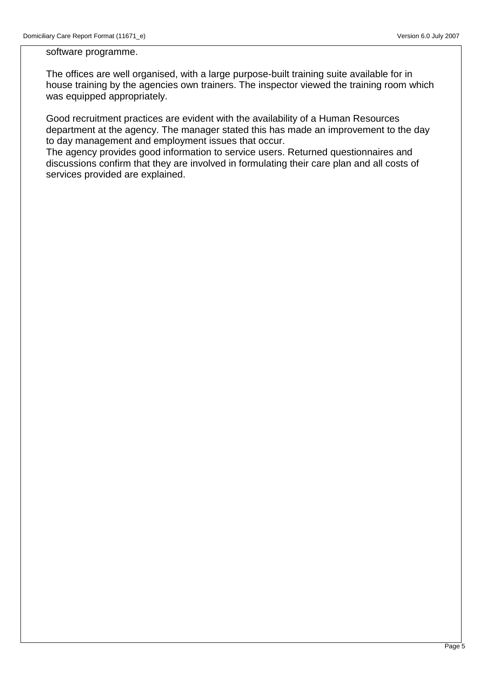software programme.

The offices are well organised, with a large purpose-built training suite available for in house training by the agencies own trainers. The inspector viewed the training room which was equipped appropriately.

Good recruitment practices are evident with the availability of a Human Resources department at the agency. The manager stated this has made an improvement to the day to day management and employment issues that occur.

The agency provides good information to service users. Returned questionnaires and discussions confirm that they are involved in formulating their care plan and all costs of services provided are explained.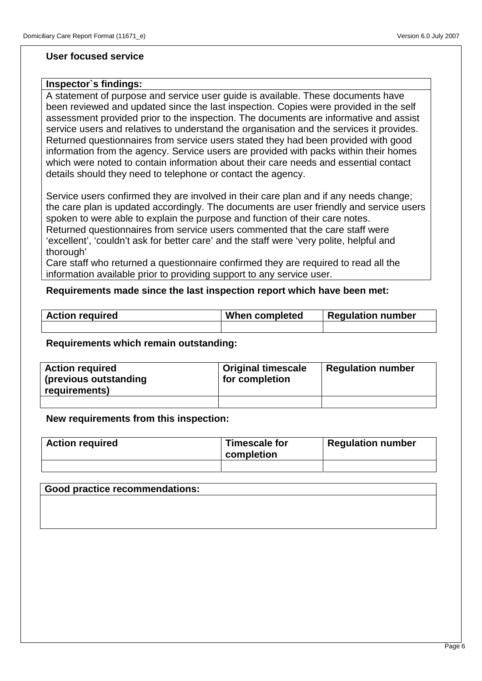#### **User focused service**

#### **Inspector`s findings:**

A statement of purpose and service user guide is available. These documents have been reviewed and updated since the last inspection. Copies were provided in the self assessment provided prior to the inspection. The documents are informative and assist service users and relatives to understand the organisation and the services it provides. Returned questionnaires from service users stated they had been provided with good information from the agency. Service users are provided with packs within their homes which were noted to contain information about their care needs and essential contact details should they need to telephone or contact the agency.

Service users confirmed they are involved in their care plan and if any needs change; the care plan is updated accordingly. The documents are user friendly and service users spoken to were able to explain the purpose and function of their care notes. Returned questionnaires from service users commented that the care staff were 'excellent', 'couldn't ask for better care' and the staff were 'very polite, helpful and thorough'

Care staff who returned a questionnaire confirmed they are required to read all the information available prior to providing support to any service user.

#### **Requirements made since the last inspection report which have been met:**

| <b>Action required</b> | When completed | <b>Regulation number</b> |
|------------------------|----------------|--------------------------|
|                        |                |                          |

#### **Requirements which remain outstanding:**

| <b>Action required</b><br>(previous outstanding<br>requirements) | <b>Original timescale</b><br>for completion | <b>Regulation number</b> |
|------------------------------------------------------------------|---------------------------------------------|--------------------------|
|                                                                  |                                             |                          |

#### **New requirements from this inspection:**

| <b>Action required</b> | Timescale for<br>completion | <b>Regulation number</b> |
|------------------------|-----------------------------|--------------------------|
|                        |                             |                          |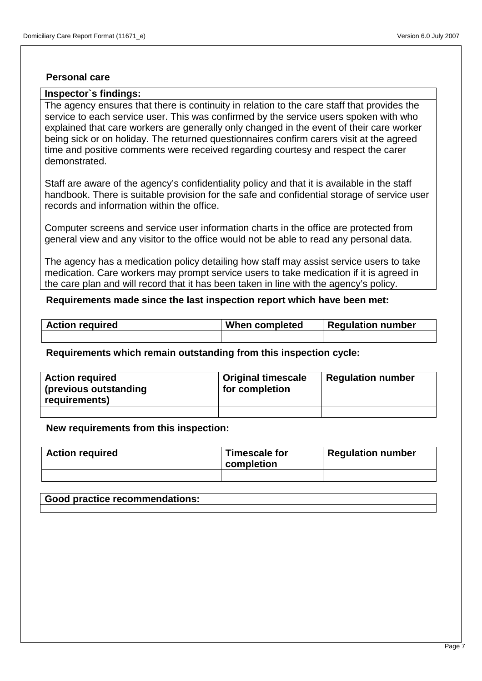#### **Personal care**

#### **Inspector`s findings:**

The agency ensures that there is continuity in relation to the care staff that provides the service to each service user. This was confirmed by the service users spoken with who explained that care workers are generally only changed in the event of their care worker being sick or on holiday. The returned questionnaires confirm carers visit at the agreed time and positive comments were received regarding courtesy and respect the carer demonstrated.

Staff are aware of the agency's confidentiality policy and that it is available in the staff handbook. There is suitable provision for the safe and confidential storage of service user records and information within the office.

Computer screens and service user information charts in the office are protected from general view and any visitor to the office would not be able to read any personal data.

The agency has a medication policy detailing how staff may assist service users to take medication. Care workers may prompt service users to take medication if it is agreed in the care plan and will record that it has been taken in line with the agency's policy.

#### **Requirements made since the last inspection report which have been met:**

| <b>Action required</b> | When completed | <b>Regulation number</b> |
|------------------------|----------------|--------------------------|
|                        |                |                          |

#### **Requirements which remain outstanding from this inspection cycle:**

| <b>Action required</b><br>(previous outstanding<br>requirements) | <b>Original timescale</b><br>for completion | <b>Regulation number</b> |
|------------------------------------------------------------------|---------------------------------------------|--------------------------|
|                                                                  |                                             |                          |

#### **New requirements from this inspection:**

| <b>Action required</b> | Timescale for<br>completion | <b>Regulation number</b> |
|------------------------|-----------------------------|--------------------------|
|                        |                             |                          |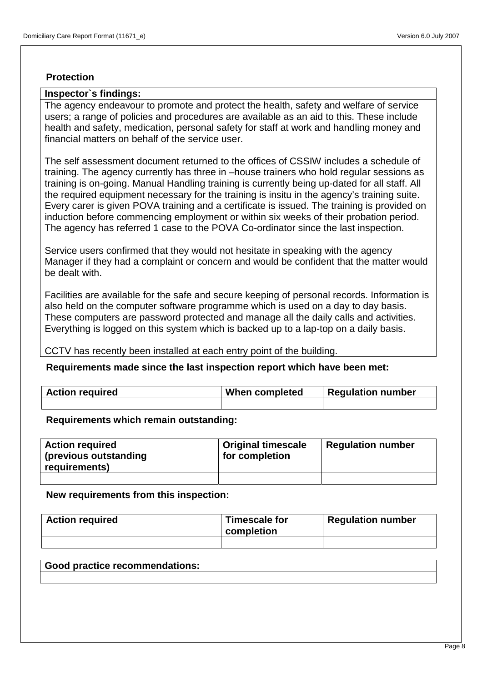#### **Protection**

#### **Inspector`s findings:**

The agency endeavour to promote and protect the health, safety and welfare of service users; a range of policies and procedures are available as an aid to this. These include health and safety, medication, personal safety for staff at work and handling money and financial matters on behalf of the service user.

The self assessment document returned to the offices of CSSIW includes a schedule of training. The agency currently has three in –house trainers who hold regular sessions as training is on-going. Manual Handling training is currently being up-dated for all staff. All the required equipment necessary for the training is insitu in the agency's training suite. Every carer is given POVA training and a certificate is issued. The training is provided on induction before commencing employment or within six weeks of their probation period. The agency has referred 1 case to the POVA Co-ordinator since the last inspection.

Service users confirmed that they would not hesitate in speaking with the agency Manager if they had a complaint or concern and would be confident that the matter would be dealt with.

Facilities are available for the safe and secure keeping of personal records. Information is also held on the computer software programme which is used on a day to day basis. These computers are password protected and manage all the daily calls and activities. Everything is logged on this system which is backed up to a lap-top on a daily basis.

CCTV has recently been installed at each entry point of the building.

#### **Requirements made since the last inspection report which have been met:**

| <b>Action required</b> | When completed | Regulation number |
|------------------------|----------------|-------------------|
|                        |                |                   |

**Requirements which remain outstanding:**

| <b>Action required</b><br>(previous outstanding<br>requirements) | <b>Original timescale</b><br>for completion | <b>Regulation number</b> |
|------------------------------------------------------------------|---------------------------------------------|--------------------------|
|                                                                  |                                             |                          |

**New requirements from this inspection:**

| <b>Action required</b> | Timescale for<br>completion | <b>Regulation number</b> |
|------------------------|-----------------------------|--------------------------|
|                        |                             |                          |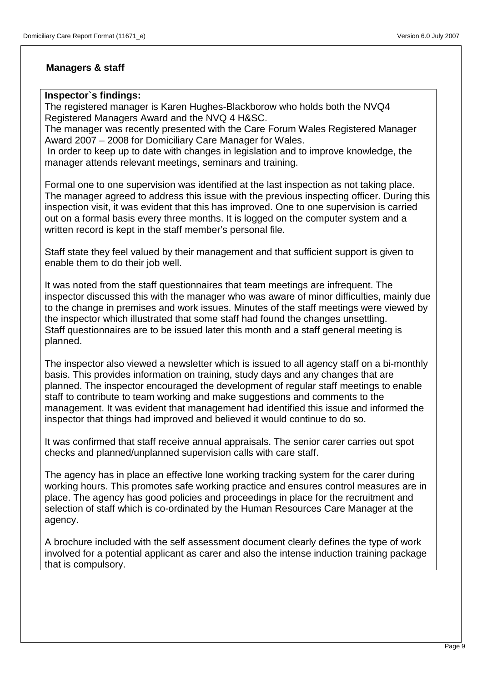## **Managers & staff**

#### **Inspector`s findings:**

The registered manager is Karen Hughes-Blackborow who holds both the NVQ4 Registered Managers Award and the NVQ 4 H&SC.

The manager was recently presented with the Care Forum Wales Registered Manager Award 2007 – 2008 for Domiciliary Care Manager for Wales.

 In order to keep up to date with changes in legislation and to improve knowledge, the manager attends relevant meetings, seminars and training.

Formal one to one supervision was identified at the last inspection as not taking place. The manager agreed to address this issue with the previous inspecting officer. During this inspection visit, it was evident that this has improved. One to one supervision is carried out on a formal basis every three months. It is logged on the computer system and a written record is kept in the staff member's personal file.

Staff state they feel valued by their management and that sufficient support is given to enable them to do their job well.

It was noted from the staff questionnaires that team meetings are infrequent. The inspector discussed this with the manager who was aware of minor difficulties, mainly due to the change in premises and work issues. Minutes of the staff meetings were viewed by the inspector which illustrated that some staff had found the changes unsettling. Staff questionnaires are to be issued later this month and a staff general meeting is planned.

The inspector also viewed a newsletter which is issued to all agency staff on a bi-monthly basis. This provides information on training, study days and any changes that are planned. The inspector encouraged the development of regular staff meetings to enable staff to contribute to team working and make suggestions and comments to the management. It was evident that management had identified this issue and informed the inspector that things had improved and believed it would continue to do so.

It was confirmed that staff receive annual appraisals. The senior carer carries out spot checks and planned/unplanned supervision calls with care staff.

The agency has in place an effective lone working tracking system for the carer during working hours. This promotes safe working practice and ensures control measures are in place. The agency has good policies and proceedings in place for the recruitment and selection of staff which is co-ordinated by the Human Resources Care Manager at the agency.

A brochure included with the self assessment document clearly defines the type of work involved for a potential applicant as carer and also the intense induction training package that is compulsory.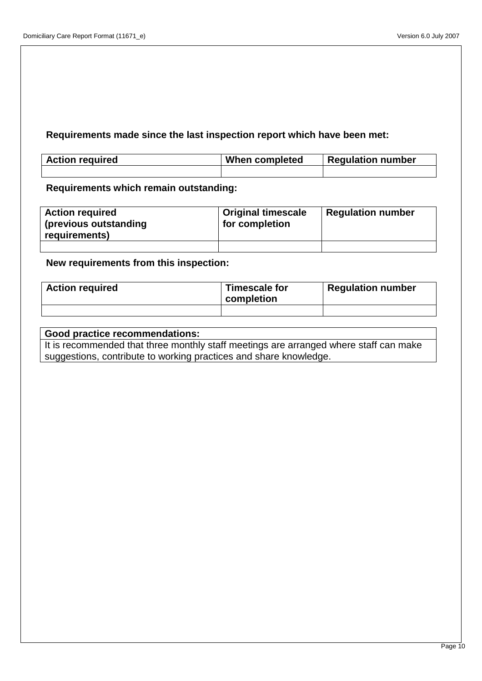## **Requirements made since the last inspection report which have been met:**

| <b>Action required</b> | When completed | Requlation number |
|------------------------|----------------|-------------------|
|                        |                |                   |

**Requirements which remain outstanding:**

| <b>Action required</b><br>(previous outstanding<br>requirements) | <b>Original timescale</b><br>for completion | <b>Regulation number</b> |
|------------------------------------------------------------------|---------------------------------------------|--------------------------|
|                                                                  |                                             |                          |

**New requirements from this inspection:**

| <b>Action required</b> | Timescale for<br>completion | <b>Regulation number</b> |
|------------------------|-----------------------------|--------------------------|
|                        |                             |                          |

## **Good practice recommendations:**

It is recommended that three monthly staff meetings are arranged where staff can make suggestions, contribute to working practices and share knowledge.